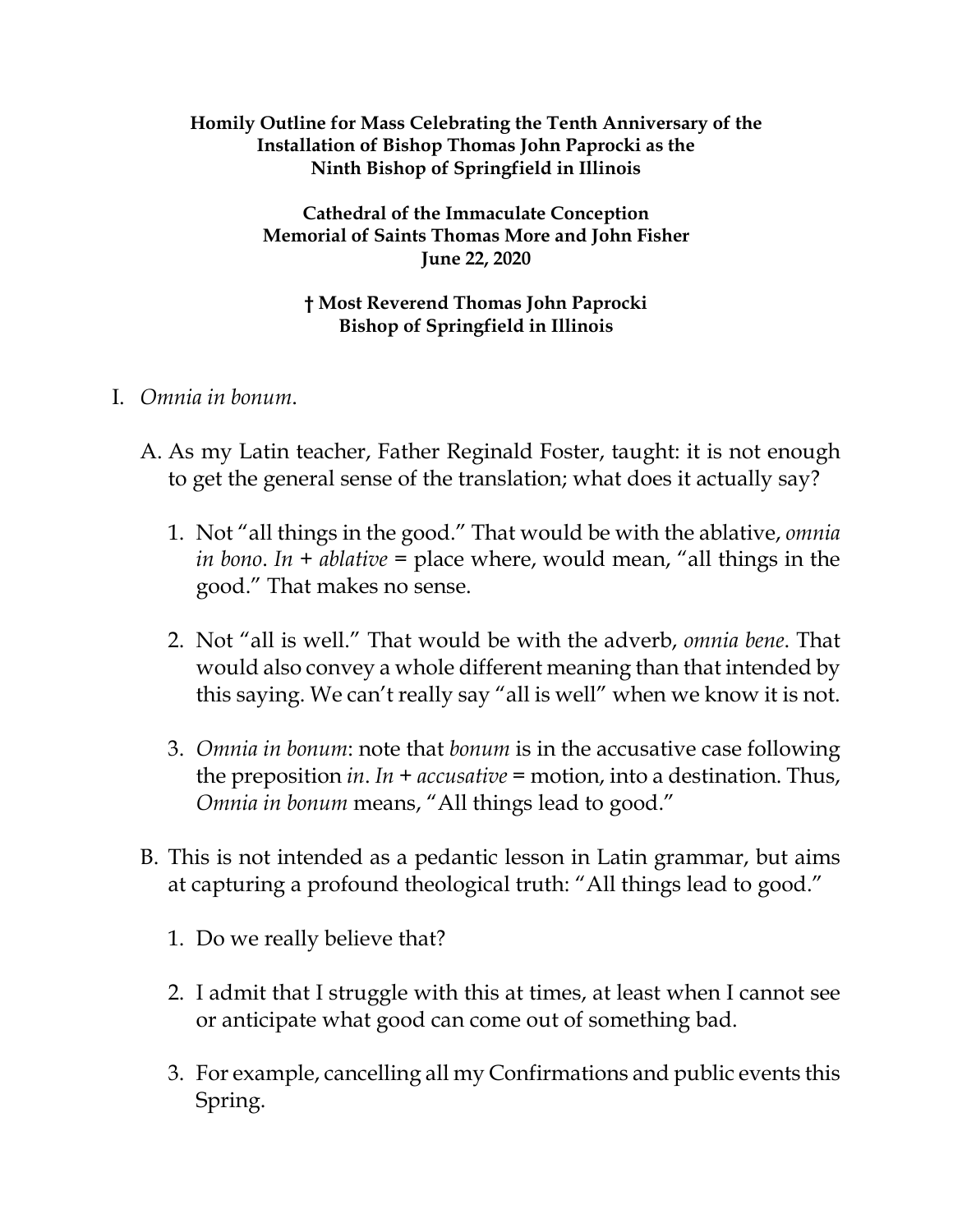#### **Homily Outline for Mass Celebrating the Tenth Anniversary of the Installation of Bishop Thomas John Paprocki as the Ninth Bishop of Springfield in Illinois**

#### **Cathedral of the Immaculate Conception Memorial of Saints Thomas More and John Fisher June 22, 2020**

## **† Most Reverend Thomas John Paprocki Bishop of Springfield in Illinois**

# I. *Omnia in bonum*.

- A. As my Latin teacher, Father Reginald Foster, taught: it is not enough to get the general sense of the translation; what does it actually say?
	- 1. Not "all things in the good." That would be with the ablative, *omnia in bono*. *In + ablative* = place where, would mean, "all things in the good." That makes no sense.
	- 2. Not "all is well." That would be with the adverb, *omnia bene*. That would also convey a whole different meaning than that intended by this saying. We can't really say "all is well" when we know it is not.
	- 3. *Omnia in bonum*: note that *bonum* is in the accusative case following the preposition *in*. *In + accusative* = motion, into a destination. Thus, *Omnia in bonum* means, "All things lead to good."
- B. This is not intended as a pedantic lesson in Latin grammar, but aims at capturing a profound theological truth: "All things lead to good."
	- 1. Do we really believe that?
	- 2. I admit that I struggle with this at times, at least when I cannot see or anticipate what good can come out of something bad.
	- 3. For example, cancelling all my Confirmations and public events this Spring.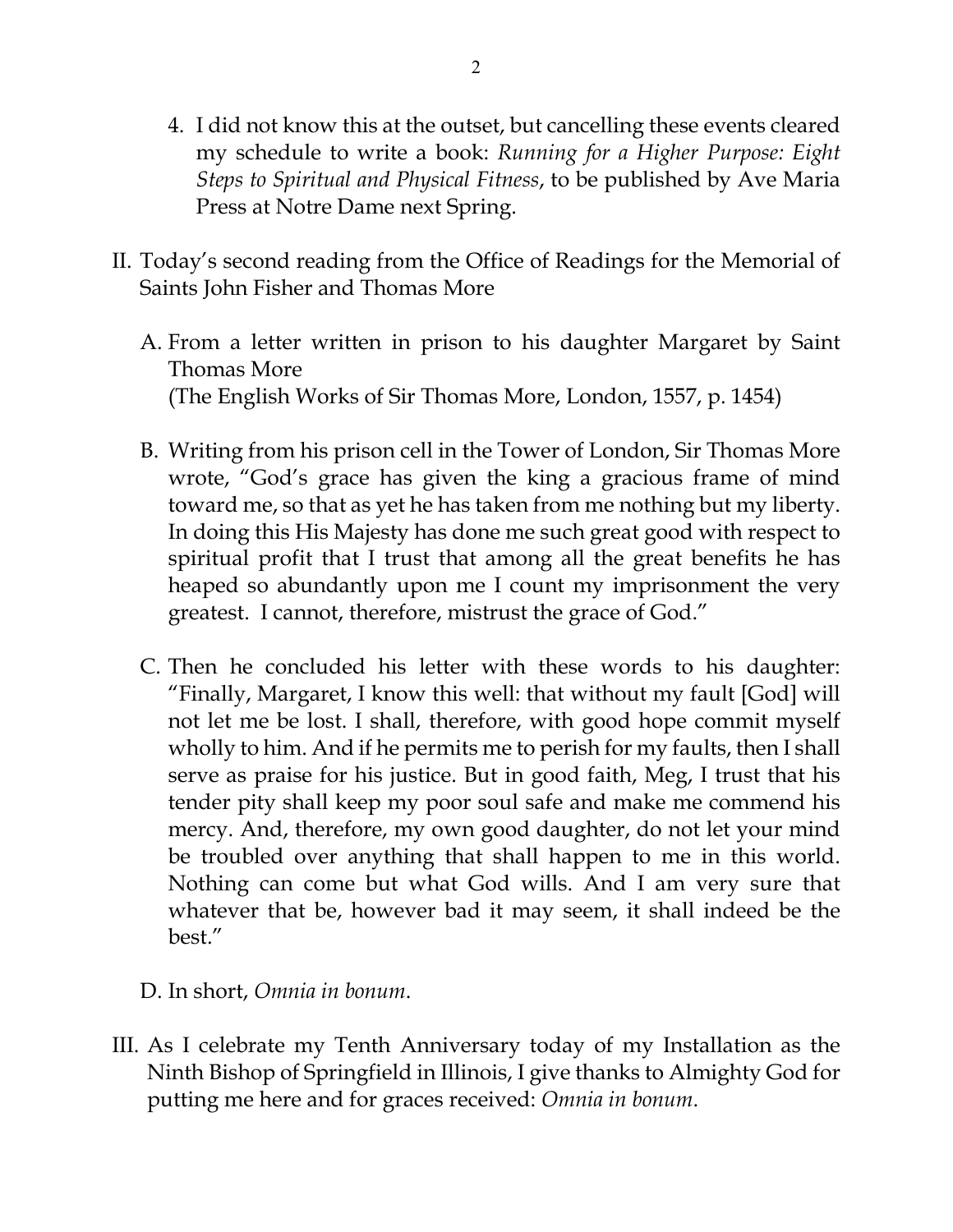- 4. I did not know this at the outset, but cancelling these events cleared my schedule to write a book: *Running for a Higher Purpose: Eight Steps to Spiritual and Physical Fitness*, to be published by Ave Maria Press at Notre Dame next Spring.
- II. Today's second reading from the Office of Readings for the Memorial of Saints John Fisher and Thomas More
	- A. From a letter written in prison to his daughter Margaret by Saint Thomas More (The English Works of Sir Thomas More, London, 1557, p. 1454)
	- B. Writing from his prison cell in the Tower of London, Sir Thomas More wrote, "God's grace has given the king a gracious frame of mind toward me, so that as yet he has taken from me nothing but my liberty. In doing this His Majesty has done me such great good with respect to spiritual profit that I trust that among all the great benefits he has heaped so abundantly upon me I count my imprisonment the very greatest. I cannot, therefore, mistrust the grace of God."
	- C. Then he concluded his letter with these words to his daughter: "Finally, Margaret, I know this well: that without my fault [God] will not let me be lost. I shall, therefore, with good hope commit myself wholly to him. And if he permits me to perish for my faults, then I shall serve as praise for his justice. But in good faith, Meg, I trust that his tender pity shall keep my poor soul safe and make me commend his mercy. And, therefore, my own good daughter, do not let your mind be troubled over anything that shall happen to me in this world. Nothing can come but what God wills. And I am very sure that whatever that be, however bad it may seem, it shall indeed be the best."

### D. In short, *Omnia in bonum*.

III. As I celebrate my Tenth Anniversary today of my Installation as the Ninth Bishop of Springfield in Illinois, I give thanks to Almighty God for putting me here and for graces received: *Omnia in bonum*.